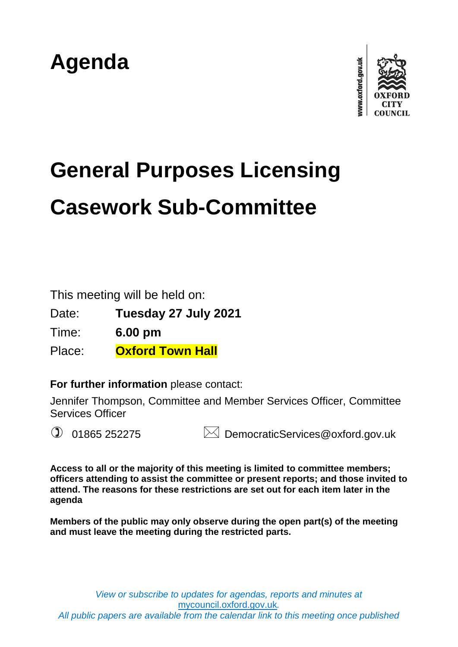## **Agenda**



# **General Purposes Licensing Casework Sub-Committee**

This meeting will be held on:

Date: **Tuesday 27 July 2021**

Time: **6.00 pm**

Place: **Oxford Town Hall**

**For further information** please contact:

Jennifer Thompson, Committee and Member Services Officer, Committee Services Officer

 $\mathbb{Q}$  01865 252275  $\mathbb{Z}$  DemocraticServices@oxford.gov.uk

**Access to all or the majority of this meeting is limited to committee members; officers attending to assist the committee or present reports; and those invited to attend. The reasons for these restrictions are set out for each item later in the agenda**

**Members of the public may only observe during the open part(s) of the meeting and must leave the meeting during the restricted parts.**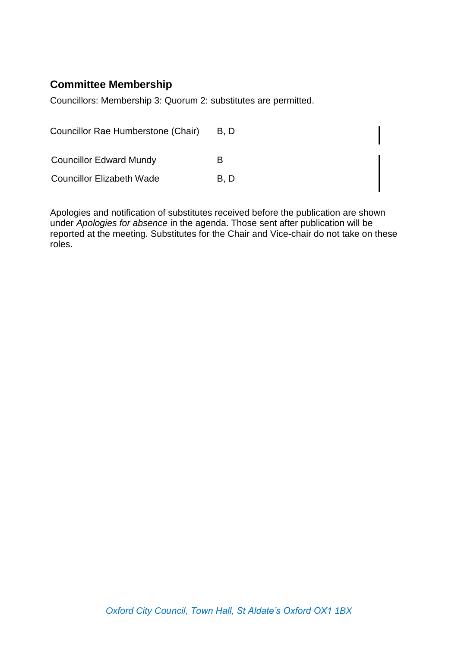## **Committee Membership**

Councillors: Membership 3: Quorum 2: substitutes are permitted.

| Councillor Rae Humberstone (Chair) | B, D |
|------------------------------------|------|
| <b>Councillor Edward Mundy</b>     | R    |
| <b>Councillor Elizabeth Wade</b>   | B, D |

Apologies and notification of substitutes received before the publication are shown under *Apologies for absence* in the agenda. Those sent after publication will be reported at the meeting. Substitutes for the Chair and Vice-chair do not take on these roles.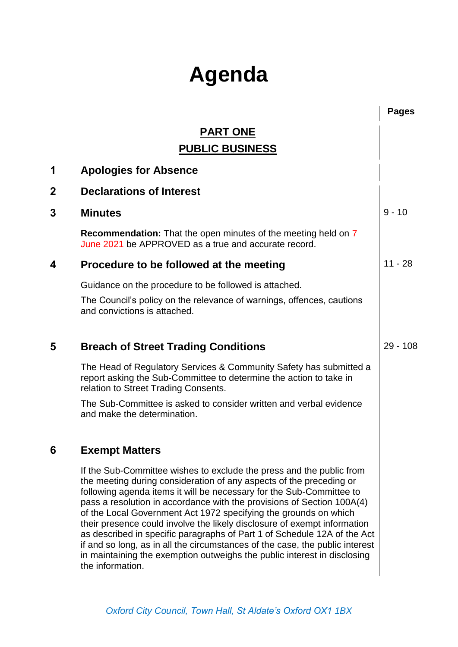## **Agenda**

|             |                                                                                                                                                                                                                                                                                                                                                                                                                                                                                                                                                                                                                                                                                                           | <b>Pages</b> |
|-------------|-----------------------------------------------------------------------------------------------------------------------------------------------------------------------------------------------------------------------------------------------------------------------------------------------------------------------------------------------------------------------------------------------------------------------------------------------------------------------------------------------------------------------------------------------------------------------------------------------------------------------------------------------------------------------------------------------------------|--------------|
|             | <b>PART ONE</b>                                                                                                                                                                                                                                                                                                                                                                                                                                                                                                                                                                                                                                                                                           |              |
|             | <b>PUBLIC BUSINESS</b>                                                                                                                                                                                                                                                                                                                                                                                                                                                                                                                                                                                                                                                                                    |              |
| 1           | <b>Apologies for Absence</b>                                                                                                                                                                                                                                                                                                                                                                                                                                                                                                                                                                                                                                                                              |              |
| $\mathbf 2$ | <b>Declarations of Interest</b>                                                                                                                                                                                                                                                                                                                                                                                                                                                                                                                                                                                                                                                                           |              |
| 3           | <b>Minutes</b>                                                                                                                                                                                                                                                                                                                                                                                                                                                                                                                                                                                                                                                                                            | $9 - 10$     |
|             | <b>Recommendation:</b> That the open minutes of the meeting held on 7<br>June 2021 be APPROVED as a true and accurate record.                                                                                                                                                                                                                                                                                                                                                                                                                                                                                                                                                                             |              |
| 4           | Procedure to be followed at the meeting                                                                                                                                                                                                                                                                                                                                                                                                                                                                                                                                                                                                                                                                   | $11 - 28$    |
|             | Guidance on the procedure to be followed is attached.                                                                                                                                                                                                                                                                                                                                                                                                                                                                                                                                                                                                                                                     |              |
|             | The Council's policy on the relevance of warnings, offences, cautions<br>and convictions is attached.                                                                                                                                                                                                                                                                                                                                                                                                                                                                                                                                                                                                     |              |
| 5           | <b>Breach of Street Trading Conditions</b>                                                                                                                                                                                                                                                                                                                                                                                                                                                                                                                                                                                                                                                                | $29 - 108$   |
|             | The Head of Regulatory Services & Community Safety has submitted a<br>report asking the Sub-Committee to determine the action to take in<br>relation to Street Trading Consents.                                                                                                                                                                                                                                                                                                                                                                                                                                                                                                                          |              |
|             | The Sub-Committee is asked to consider written and verbal evidence<br>and make the determination.                                                                                                                                                                                                                                                                                                                                                                                                                                                                                                                                                                                                         |              |
| 6           | <b>Exempt Matters</b>                                                                                                                                                                                                                                                                                                                                                                                                                                                                                                                                                                                                                                                                                     |              |
|             | If the Sub-Committee wishes to exclude the press and the public from<br>the meeting during consideration of any aspects of the preceding or<br>following agenda items it will be necessary for the Sub-Committee to<br>pass a resolution in accordance with the provisions of Section 100A(4)<br>of the Local Government Act 1972 specifying the grounds on which<br>their presence could involve the likely disclosure of exempt information<br>as described in specific paragraphs of Part 1 of Schedule 12A of the Act<br>if and so long, as in all the circumstances of the case, the public interest<br>in maintaining the exemption outweighs the public interest in disclosing<br>the information. |              |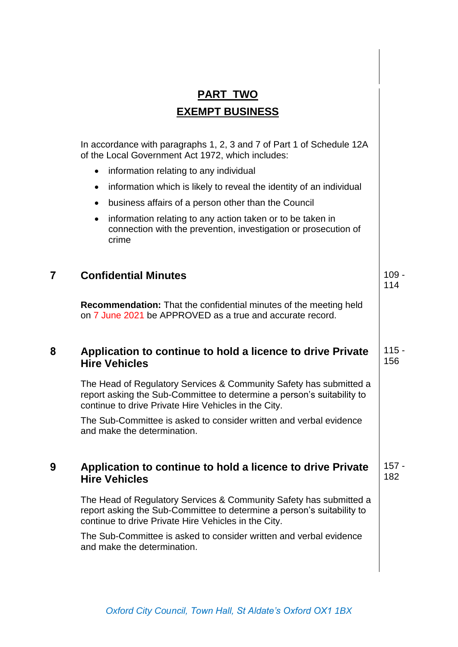|   | <b>PART TWO</b>                                                                                                                                                                                      |                |
|---|------------------------------------------------------------------------------------------------------------------------------------------------------------------------------------------------------|----------------|
|   | <b>EXEMPT BUSINESS</b>                                                                                                                                                                               |                |
|   |                                                                                                                                                                                                      |                |
|   | In accordance with paragraphs 1, 2, 3 and 7 of Part 1 of Schedule 12A<br>of the Local Government Act 1972, which includes:                                                                           |                |
|   | information relating to any individual<br>$\bullet$                                                                                                                                                  |                |
|   | information which is likely to reveal the identity of an individual<br>$\bullet$                                                                                                                     |                |
|   | business affairs of a person other than the Council                                                                                                                                                  |                |
|   | information relating to any action taken or to be taken in<br>٠<br>connection with the prevention, investigation or prosecution of<br>crime                                                          |                |
|   |                                                                                                                                                                                                      |                |
| 7 | <b>Confidential Minutes</b>                                                                                                                                                                          | $109 -$<br>114 |
|   | <b>Recommendation:</b> That the confidential minutes of the meeting held<br>on 7 June 2021 be APPROVED as a true and accurate record.                                                                |                |
| 8 | Application to continue to hold a licence to drive Private<br><b>Hire Vehicles</b>                                                                                                                   | $115 -$<br>156 |
|   | The Head of Regulatory Services & Community Safety has submitted a<br>report asking the Sub-Committee to determine a person's suitability to<br>continue to drive Private Hire Vehicles in the City. |                |
|   | The Sub-Committee is asked to consider written and verbal evidence<br>and make the determination.                                                                                                    |                |
| 9 | Application to continue to hold a licence to drive Private<br><b>Hire Vehicles</b>                                                                                                                   | $157 -$<br>182 |
|   | The Head of Regulatory Services & Community Safety has submitted a<br>report asking the Sub-Committee to determine a person's suitability to<br>continue to drive Private Hire Vehicles in the City. |                |
|   | The Sub-Committee is asked to consider written and verbal evidence<br>and make the determination.                                                                                                    |                |
|   |                                                                                                                                                                                                      |                |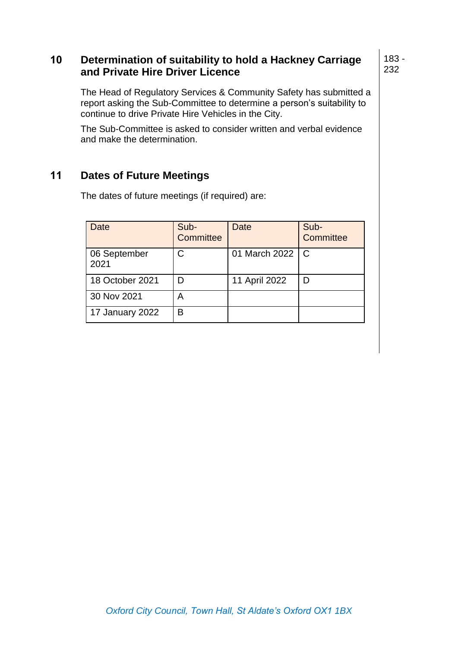### **10 Determination of suitability to hold a Hackney Carriage and Private Hire Driver Licence**

The Head of Regulatory Services & Community Safety has submitted a report asking the Sub-Committee to determine a person's suitability to continue to drive Private Hire Vehicles in the City.

The Sub-Committee is asked to consider written and verbal evidence and make the determination.

## **11 Dates of Future Meetings**

Date Sub-**Committee** Date Sub-**Committee** 06 September 2021 C 01 March 2022 C 18 October 2021 **D** 11 April 2022 **D** 30 Nov 2021 | A 17 January 2022 | B

The dates of future meetings (if required) are: